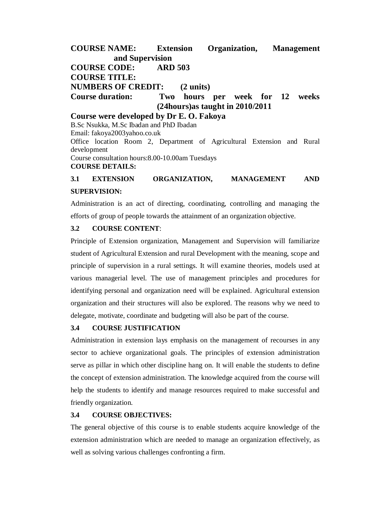**COURSE NAME: Extension Organization, Management and Supervision COURSE CODE: ARD 503 COURSE TITLE: NUMBERS OF CREDIT: (2 units) Course duration: Two hours per week for 12 weeks (24hours)as taught in 2010/2011 Course were developed by Dr E. O. Fakoya**

B.Sc Nsukka, M.Sc Ibadan and PhD Ibadan Email: fakoya2003yahoo.co.uk Office location Room 2, Department of Agricultural Extension and Rural development Course consultation hours:8.00-10.00am Tuesdays **COURSE DETAILS:**

# **3.1 EXTENSION ORGANIZATION, MANAGEMENT AND SUPERVISION:**

Administration is an act of directing, coordinating, controlling and managing the efforts of group of people towards the attainment of an organization objective.

## **3.2 COURSE CONTENT**:

Principle of Extension organization, Management and Supervision will familiarize student of Agricultural Extension and rural Development with the meaning, scope and principle of supervision in a rural settings. It will examine theories, models used at various managerial level. The use of management principles and procedures for identifying personal and organization need will be explained. Agricultural extension organization and their structures will also be explored. The reasons why we need to delegate, motivate, coordinate and budgeting will also be part of the course.

## **3.4 COURSE JUSTIFICATION**

Administration in extension lays emphasis on the management of recourses in any sector to achieve organizational goals. The principles of extension administration serve as pillar in which other discipline hang on. It will enable the students to define the concept of extension administration. The knowledge acquired from the course will help the students to identify and manage resources required to make successful and friendly organization.

## **3.4 COURSE OBJECTIVES:**

The general objective of this course is to enable students acquire knowledge of the extension administration which are needed to manage an organization effectively, as well as solving various challenges confronting a firm.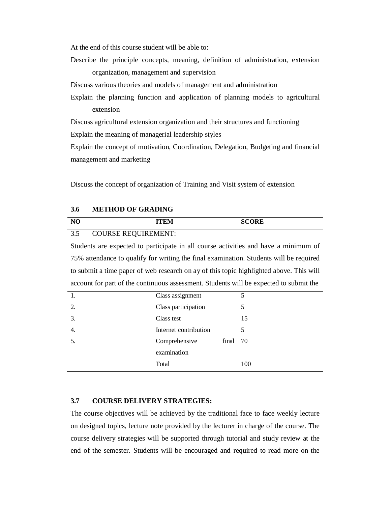At the end of this course student will be able to:

Describe the principle concepts, meaning, definition of administration, extension organization, management and supervision

Discuss various theories and models of management and administration

Explain the planning function and application of planning models to agricultural extension

Discuss agricultural extension organization and their structures and functioning

Explain the meaning of managerial leadership styles

Explain the concept of motivation, Coordination, Delegation, Budgeting and financial management and marketing

Discuss the concept of organization of Training and Visit system of extension

#### **3.6 METHOD OF GRADING**

| $\mathbf{N}$        |                         | <b>SCORE</b> |  |
|---------------------|-------------------------|--------------|--|
| $\Omega$ $\epsilon$ | $COTID$ CE DEOLIDEMENT. |              |  |

#### 3.5 COURSE REQUIREMENT:

Students are expected to participate in all course activities and have a minimum of 75% attendance to qualify for writing the final examination. Students will be required to submit a time paper of web research on ay of this topic highlighted above. This will account for part of the continuous assessment. Students will be expected to submit the

| 1. | Class assignment      |          | 5   |
|----|-----------------------|----------|-----|
| 2. | Class participation   |          | 5   |
| 3. | Class test            |          | 15  |
| 4. | Internet contribution |          | 5   |
| 5. | Comprehensive         | final 70 |     |
|    | examination           |          |     |
|    | Total                 |          | 100 |

## **3.7 COURSE DELIVERY STRATEGIES:**

The course objectives will be achieved by the traditional face to face weekly lecture on designed topics, lecture note provided by the lecturer in charge of the course. The course delivery strategies will be supported through tutorial and study review at the end of the semester. Students will be encouraged and required to read more on the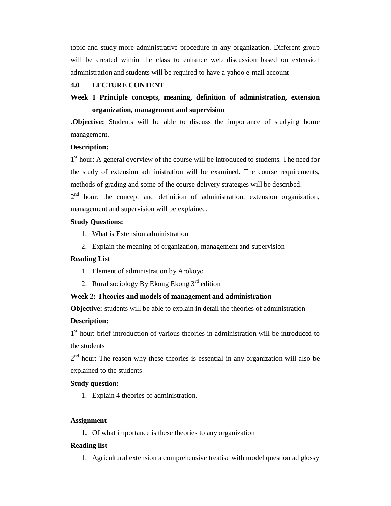topic and study more administrative procedure in any organization. Different group will be created within the class to enhance web discussion based on extension administration and students will be required to have a yahoo e-mail account

## **4.0 LECTURE CONTENT**

# **Week 1 Principle concepts, meaning, definition of administration, extension organization, management and supervision**

**.Objective:** Students will be able to discuss the importance of studying home management.

## **Description:**

1<sup>st</sup> hour: A general overview of the course will be introduced to students. The need for the study of extension administration will be examined. The course requirements, methods of grading and some of the course delivery strategies will be described.

 $2<sup>nd</sup>$  hour: the concept and definition of administration, extension organization, management and supervision will be explained.

## **Study Questions:**

- 1. What is Extension administration
- 2. Explain the meaning of organization, management and supervision

#### **Reading List**

- 1. Element of administration by Arokoyo
- 2. Rural sociology By Ekong Ekong  $3<sup>rd</sup>$  edition

# **Week 2: Theories and models of management and administration**

**Objective:** students will be able to explain in detail the theories of administration

#### **Description:**

1<sup>st</sup> hour: brief introduction of various theories in administration will be introduced to the students

 $2<sup>nd</sup>$  hour: The reason why these theories is essential in any organization will also be explained to the students

## **Study question:**

1. Explain 4 theories of administration.

#### **Assignment**

**1.** Of what importance is these theories to any organization

#### **Reading list**

1. Agricultural extension a comprehensive treatise with model question ad glossy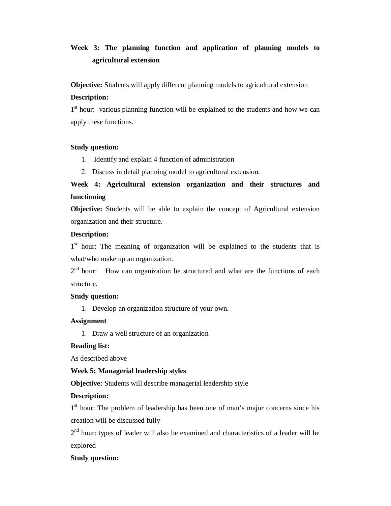# **Week 3: The planning function and application of planning models to agricultural extension**

**Objective:** Students will apply different planning models to agricultural extension **Description:** 

1<sup>st</sup> hour: various planning function will be explained to the students and how we can apply these functions.

## **Study question:**

- 1. Identify and explain 4 function of administration
- 2. Discuss in detail planning model to agricultural extension.

# **Week 4: Agricultural extension organization and their structures and functioning**

**Objective:** Students will be able to explain the concept of Agricultural extension organization and their structure.

# **Description:**

1<sup>st</sup> hour: The meaning of organization will be explained to the students that is what/who make up an organization.

 $2<sup>nd</sup>$  hour: How can organization be structured and what are the functions of each structure.

## **Study question:**

1. Develop an organization structure of your own.

# **Assignment**

1. Draw a well structure of an organization

# **Reading list:**

As described above

# **Week 5: Managerial leadership styles**

**Objective:** Students will describe managerial leadership style

# **Description:**

1<sup>st</sup> hour: The problem of leadership has been one of man's major concerns since his creation will be discussed fully

 $2<sup>nd</sup>$  hour: types of leader will also be examined and characteristics of a leader will be explored

# **Study question:**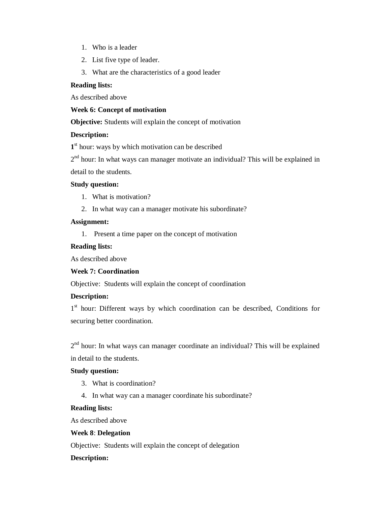- 1. Who is a leader
- 2. List five type of leader.
- 3. What are the characteristics of a good leader

#### **Reading lists:**

As described above

#### **Week 6: Concept of motivation**

**Objective:** Students will explain the concept of motivation

## **Description:**

1<sup>st</sup> hour: ways by which motivation can be described

2<sup>nd</sup> hour: In what ways can manager motivate an individual? This will be explained in detail to the students.

#### **Study question:**

- 1. What is motivation?
- 2. In what way can a manager motivate his subordinate?

#### **Assignment:**

1. Present a time paper on the concept of motivation

## **Reading lists:**

As described above

# **Week 7: Coordination**

Objective: Students will explain the concept of coordination

## **Description:**

1<sup>st</sup> hour: Different ways by which coordination can be described, Conditions for securing better coordination.

 $2<sup>nd</sup>$  hour: In what ways can manager coordinate an individual? This will be explained in detail to the students.

## **Study question:**

- 3. What is coordination?
- 4. In what way can a manager coordinate his subordinate?

#### **Reading lists:**

As described above

## **Week 8**: **Delegation**

Objective: Students will explain the concept of delegation

#### **Description:**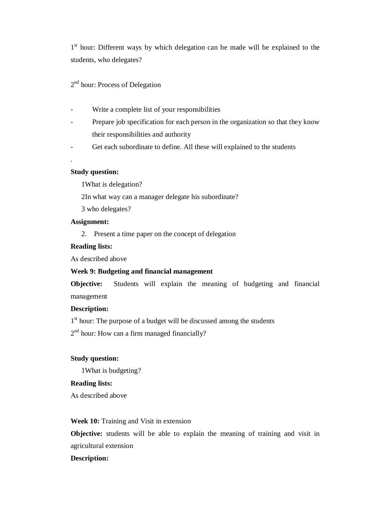1<sup>st</sup> hour: Different ways by which delegation can be made will be explained to the students, who delegates?

2<sup>nd</sup> hour: Process of Delegation

- Write a complete list of your responsibilities
- Prepare job specification for each person in the organization so that they know their responsibilities and authority
- Get each subordinate to define. All these will explained to the students

#### **Study question:**

.

1What is delegation?

2In what way can a manager delegate his subordinate?

3 who delegates?

## **Assignment:**

2. Present a time paper on the concept of delegation

#### **Reading lists:**

As described above

## **Week 9: Budgeting and financial management**

**Objective:** Students will explain the meaning of budgeting and financial management

#### **Description:**

1<sup>st</sup> hour: The purpose of a budget will be discussed among the students

2<sup>nd</sup> hour: How can a firm managed financially?

## **Study question:**

1What is budgeting?

## **Reading lists:**

As described above

## **Week 10:** Training and Visit in extension

**Objective:** students will be able to explain the meaning of training and visit in agricultural extension

#### **Description:**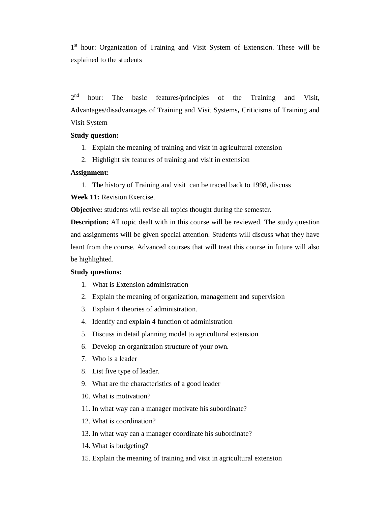1<sup>st</sup> hour: Organization of Training and Visit System of Extension. These will be explained to the students

 $2<sup>nd</sup>$ hour: The basic features/principles of the Training and Visit, Advantages/disadvantages of Training and Visit Systems**,** Criticisms of Training and Visit System

#### **Study question:**

- 1. Explain the meaning of training and visit in agricultural extension
- 2. Highlight six features of training and visit in extension

#### **Assignment:**

1. The history of Training and visit can be traced back to 1998, discuss **Week 11:** Revision Exercise.

**Objective:** students will revise all topics thought during the semester.

**Description:** All topic dealt with in this course will be reviewed. The study question and assignments will be given special attention. Students will discuss what they have leant from the course. Advanced courses that will treat this course in future will also be highlighted.

#### **Study questions:**

- 1. What is Extension administration
- 2. Explain the meaning of organization, management and supervision
- 3. Explain 4 theories of administration.
- 4. Identify and explain 4 function of administration
- 5. Discuss in detail planning model to agricultural extension.
- 6. Develop an organization structure of your own.
- 7. Who is a leader
- 8. List five type of leader.
- 9. What are the characteristics of a good leader
- 10. What is motivation?
- 11. In what way can a manager motivate his subordinate?
- 12. What is coordination?
- 13. In what way can a manager coordinate his subordinate?
- 14. What is budgeting?
- 15. Explain the meaning of training and visit in agricultural extension